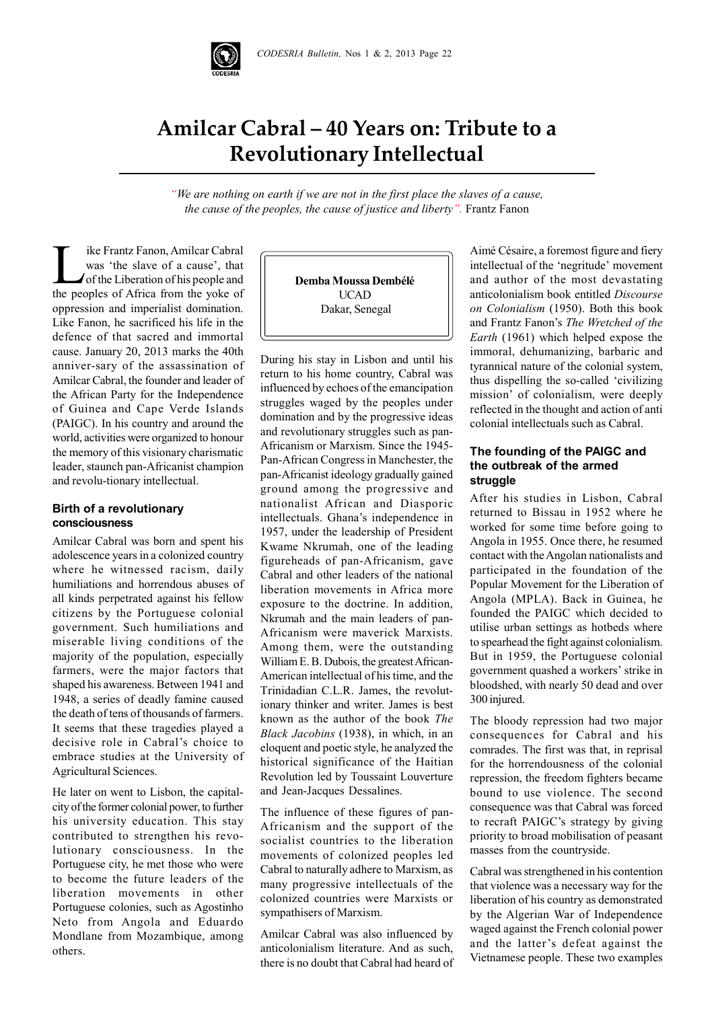

# **Amilcar Cabral – 40 Years on: Tribute to a Revolutionary Intellectual**

*"We are nothing on earth if we are not in the first place the slaves of a cause, the cause of the peoples, the cause of justice and liberty".* Frantz Fanon

I ike Frantz Fanon, Amilcar Cabral<br>was 'the slave of a cause', that<br>of the Liberation of his people and<br>the peoples of Africa from the voke of was 'the slave of a cause', that of the Liberation of his people and the peoples of Africa from the yoke of oppression and imperialist domination. Like Fanon, he sacrificed his life in the defence of that sacred and immortal cause. January 20, 2013 marks the 40th anniver-sary of the assassination of Amilcar Cabral, the founder and leader of the African Party for the Independence of Guinea and Cape Verde Islands (PAIGC). In his country and around the world, activities were organized to honour the memory of this visionary charismatic leader, staunch pan-Africanist champion and revolu-tionary intellectual.

### **Birth of a revolutionary consciousness**

Amilcar Cabral was born and spent his adolescence years in a colonized country where he witnessed racism, daily humiliations and horrendous abuses of all kinds perpetrated against his fellow citizens by the Portuguese colonial government. Such humiliations and miserable living conditions of the majority of the population, especially farmers, were the major factors that shaped his awareness. Between 1941 and 1948, a series of deadly famine caused the death of tens of thousands of farmers. It seems that these tragedies played a decisive role in Cabral's choice to embrace studies at the University of Agricultural Sciences.

He later on went to Lisbon, the capitalcity of the former colonial power, to further his university education. This stay contributed to strengthen his revolutionary consciousness. In the Portuguese city, he met those who were to become the future leaders of the liberation movements in other Portuguese colonies, such as Agostinho Neto from Angola and Eduardo Mondlane from Mozambique, among others.

**Demba Moussa Dembélé** UCAD Dakar, Senegal

During his stay in Lisbon and until his return to his home country, Cabral was influenced by echoes of the emancipation struggles waged by the peoples under domination and by the progressive ideas and revolutionary struggles such as pan-Africanism or Marxism. Since the 1945- Pan-African Congress in Manchester, the pan-Africanist ideology gradually gained ground among the progressive and nationalist African and Diasporic intellectuals. Ghana's independence in 1957, under the leadership of President Kwame Nkrumah, one of the leading figureheads of pan-Africanism, gave Cabral and other leaders of the national liberation movements in Africa more exposure to the doctrine. In addition, Nkrumah and the main leaders of pan-Africanism were maverick Marxists. Among them, were the outstanding William E. B. Dubois, the greatest African-American intellectual of his time, and the Trinidadian C.L.R. James, the revolutionary thinker and writer. James is best known as the author of the book *The Black Jacobins* (1938), in which, in an eloquent and poetic style, he analyzed the historical significance of the Haitian Revolution led by Toussaint Louverture and Jean-Jacques Dessalines.

The influence of these figures of pan-Africanism and the support of the socialist countries to the liberation movements of colonized peoples led Cabral to naturally adhere to Marxism, as many progressive intellectuals of the colonized countries were Marxists or sympathisers of Marxism.

Amilcar Cabral was also influenced by anticolonialism literature. And as such, there is no doubt that Cabral had heard of

Aimé Césaire, a foremost figure and fiery intellectual of the 'negritude' movement and author of the most devastating anticolonialism book entitled *Discourse on Colonialism* (1950). Both this book and Frantz Fanon's *The Wretched of the Earth* (1961) which helped expose the immoral, dehumanizing, barbaric and tyrannical nature of the colonial system, thus dispelling the so-called 'civilizing mission' of colonialism, were deeply reflected in the thought and action of anti colonial intellectuals such as Cabral.

## **The founding of the PAIGC and the outbreak of the armed struggle**

After his studies in Lisbon, Cabral returned to Bissau in 1952 where he worked for some time before going to Angola in 1955. Once there, he resumed contact with the Angolan nationalists and participated in the foundation of the Popular Movement for the Liberation of Angola (MPLA). Back in Guinea, he founded the PAIGC which decided to utilise urban settings as hotbeds where to spearhead the fight against colonialism. But in 1959, the Portuguese colonial government quashed a workers' strike in bloodshed, with nearly 50 dead and over 300 injured.

The bloody repression had two major consequences for Cabral and his comrades. The first was that, in reprisal for the horrendousness of the colonial repression, the freedom fighters became bound to use violence. The second consequence was that Cabral was forced to recraft PAIGC's strategy by giving priority to broad mobilisation of peasant masses from the countryside.

Cabral was strengthened in his contention that violence was a necessary way for the liberation of his country as demonstrated by the Algerian War of Independence waged against the French colonial power and the latter's defeat against the Vietnamese people. These two examples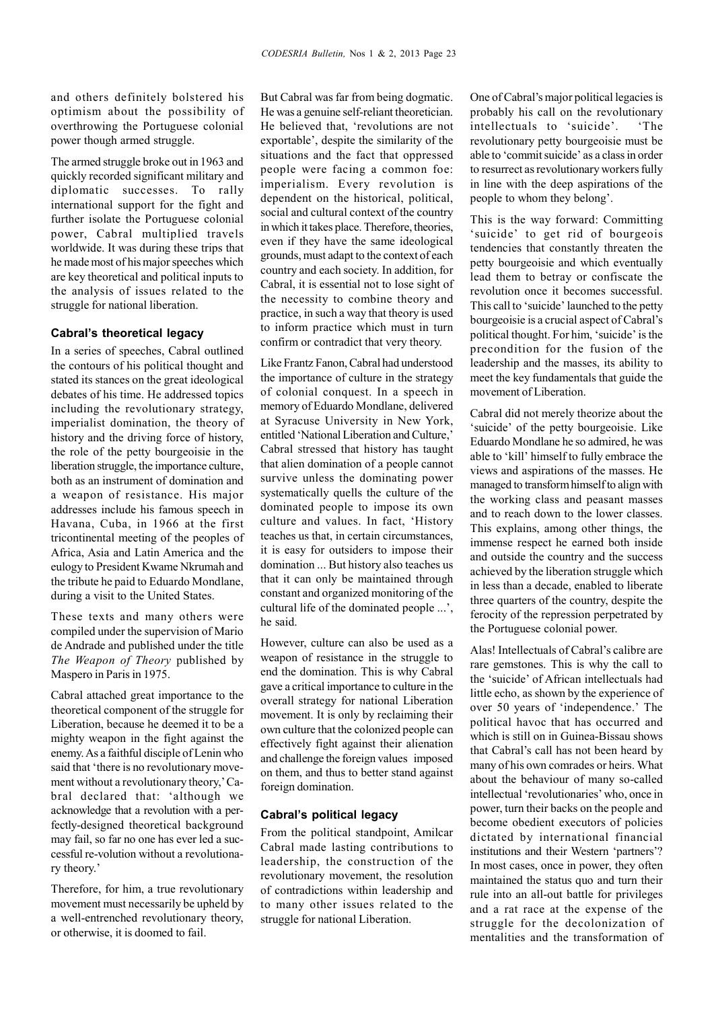and others definitely bolstered his optimism about the possibility of overthrowing the Portuguese colonial power though armed struggle.

The armed struggle broke out in 1963 and quickly recorded significant military and diplomatic successes. To rally international support for the fight and further isolate the Portuguese colonial power, Cabral multiplied travels worldwide. It was during these trips that he made most of his major speeches which are key theoretical and political inputs to the analysis of issues related to the struggle for national liberation.

#### **Cabral's theoretical legacy**

In a series of speeches, Cabral outlined the contours of his political thought and stated its stances on the great ideological debates of his time. He addressed topics including the revolutionary strategy, imperialist domination, the theory of history and the driving force of history, the role of the petty bourgeoisie in the liberation struggle, the importance culture, both as an instrument of domination and a weapon of resistance. His major addresses include his famous speech in Havana, Cuba, in 1966 at the first tricontinental meeting of the peoples of Africa, Asia and Latin America and the eulogy to President Kwame Nkrumah and the tribute he paid to Eduardo Mondlane, during a visit to the United States.

These texts and many others were compiled under the supervision of Mario de Andrade and published under the title *The Weapon of Theory* published by Maspero in Paris in 1975.

Cabral attached great importance to the theoretical component of the struggle for Liberation, because he deemed it to be a mighty weapon in the fight against the enemy. As a faithful disciple of Lenin who said that 'there is no revolutionary movement without a revolutionary theory,' Cabral declared that: 'although we acknowledge that a revolution with a perfectly-designed theoretical background may fail, so far no one has ever led a successful re-volution without a revolutionary theory.'

Therefore, for him, a true revolutionary movement must necessarily be upheld by a well-entrenched revolutionary theory, or otherwise, it is doomed to fail.

But Cabral was far from being dogmatic. He was a genuine self-reliant theoretician. He believed that, 'revolutions are not exportable', despite the similarity of the situations and the fact that oppressed people were facing a common foe: imperialism. Every revolution is dependent on the historical, political, social and cultural context of the country in which it takes place. Therefore, theories, even if they have the same ideological grounds, must adapt to the context of each country and each society. In addition, for Cabral, it is essential not to lose sight of the necessity to combine theory and practice, in such a way that theory is used to inform practice which must in turn confirm or contradict that very theory.

Like Frantz Fanon, Cabral had understood the importance of culture in the strategy of colonial conquest. In a speech in memory of Eduardo Mondlane, delivered at Syracuse University in New York, entitled 'National Liberation and Culture,' Cabral stressed that history has taught that alien domination of a people cannot survive unless the dominating power systematically quells the culture of the dominated people to impose its own culture and values. In fact, 'History teaches us that, in certain circumstances, it is easy for outsiders to impose their domination ... But history also teaches us that it can only be maintained through constant and organized monitoring of the cultural life of the dominated people ...', he said.

However, culture can also be used as a weapon of resistance in the struggle to end the domination. This is why Cabral gave a critical importance to culture in the overall strategy for national Liberation movement. It is only by reclaiming their own culture that the colonized people can effectively fight against their alienation and challenge the foreign values imposed on them, and thus to better stand against foreign domination.

#### **Cabral's political legacy**

From the political standpoint, Amilcar Cabral made lasting contributions to leadership, the construction of the revolutionary movement, the resolution of contradictions within leadership and to many other issues related to the struggle for national Liberation.

One of Cabral's major political legacies is probably his call on the revolutionary intellectuals to 'suicide'. 'The revolutionary petty bourgeoisie must be able to 'commit suicide' as a class in order to resurrect as revolutionary workers fully in line with the deep aspirations of the people to whom they belong'.

This is the way forward: Committing 'suicide' to get rid of bourgeois tendencies that constantly threaten the petty bourgeoisie and which eventually lead them to betray or confiscate the revolution once it becomes successful. This call to 'suicide' launched to the petty bourgeoisie is a crucial aspect of Cabral's political thought. For him, 'suicide' is the precondition for the fusion of the leadership and the masses, its ability to meet the key fundamentals that guide the movement of Liberation.

Cabral did not merely theorize about the 'suicide' of the petty bourgeoisie. Like Eduardo Mondlane he so admired, he was able to 'kill' himself to fully embrace the views and aspirations of the masses. He managed to transform himself to align with the working class and peasant masses and to reach down to the lower classes. This explains, among other things, the immense respect he earned both inside and outside the country and the success achieved by the liberation struggle which in less than a decade, enabled to liberate three quarters of the country, despite the ferocity of the repression perpetrated by the Portuguese colonial power.

Alas! Intellectuals of Cabral's calibre are rare gemstones. This is why the call to the 'suicide' of African intellectuals had little echo, as shown by the experience of over 50 years of 'independence.' The political havoc that has occurred and which is still on in Guinea-Bissau shows that Cabral's call has not been heard by many of his own comrades or heirs. What about the behaviour of many so-called intellectual 'revolutionaries' who, once in power, turn their backs on the people and become obedient executors of policies dictated by international financial institutions and their Western 'partners'? In most cases, once in power, they often maintained the status quo and turn their rule into an all-out battle for privileges and a rat race at the expense of the struggle for the decolonization of mentalities and the transformation of